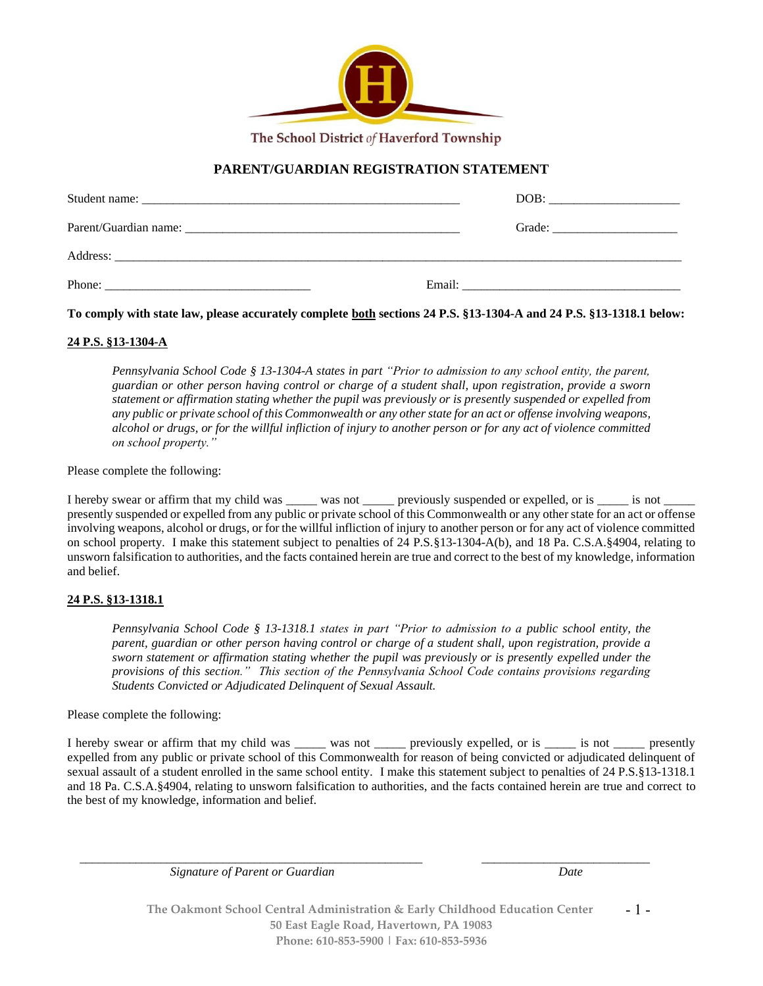

The School District of Haverford Township

## **PARENT/GUARDIAN REGISTRATION STATEMENT**

| Phone: |  |
|--------|--|

**To comply with state law, please accurately complete both sections 24 P.S. §13-1304-A and 24 P.S. §13-1318.1 below:**

## **24 P.S. §13-1304-A**

*Pennsylvania School Code § 13-1304-A states in part "Prior to admission to any school entity, the parent, guardian or other person having control or charge of a student shall, upon registration, provide a sworn statement or affirmation stating whether the pupil was previously or is presently suspended or expelled from any public or private school of this Commonwealth or any other state for an act or offense involving weapons, alcohol or drugs, or for the willful infliction of injury to another person or for any act of violence committed on school property."*

Please complete the following:

I hereby swear or affirm that my child was \_\_\_\_\_ was not \_\_\_\_\_ previously suspended or expelled, or is \_\_\_\_\_ is not \_ presently suspended or expelled from any public or private school of this Commonwealth or any other state for an act or offense involving weapons, alcohol or drugs, or for the willful infliction of injury to another person or for any act of violence committed on school property. I make this statement subject to penalties of 24 P.S.§13-1304-A(b), and 18 Pa. C.S.A.§4904, relating to unsworn falsification to authorities, and the facts contained herein are true and correct to the best of my knowledge, information and belief.

## **24 P.S. §13-1318.1**

*Pennsylvania School Code § 13-1318.1 states in part "Prior to admission to a public school entity, the parent, guardian or other person having control or charge of a student shall, upon registration, provide a sworn statement or affirmation stating whether the pupil was previously or is presently expelled under the provisions of this section." This section of the Pennsylvania School Code contains provisions regarding Students Convicted or Adjudicated Delinquent of Sexual Assault.*

Please complete the following:

I hereby swear or affirm that my child was \_\_\_\_\_ was not \_\_\_\_\_ previously expelled, or is \_\_\_\_\_ is not \_\_\_\_\_ presently expelled from any public or private school of this Commonwealth for reason of being convicted or adjudicated delinquent of sexual assault of a student enrolled in the same school entity. I make this statement subject to penalties of 24 P.S.§13-1318.1 and 18 Pa. C.S.A.§4904, relating to unsworn falsification to authorities, and the facts contained herein are true and correct to the best of my knowledge, information and belief.

 *Signature of Parent or Guardian Date*

\_\_\_\_\_\_\_\_\_\_\_\_\_\_\_\_\_\_\_\_\_\_\_\_\_\_\_\_\_\_\_\_\_\_\_\_\_\_\_\_\_\_\_\_\_\_\_\_\_\_\_\_\_\_\_ \_\_\_\_\_\_\_\_\_\_\_\_\_\_\_\_\_\_\_\_\_\_\_\_\_\_\_

**The Oakmont School Central Administration & Early Childhood Education Center 50 East Eagle Road, Havertown, PA 19083 Phone: 610-853-5900 | Fax: 610-853-5936** - 1 -